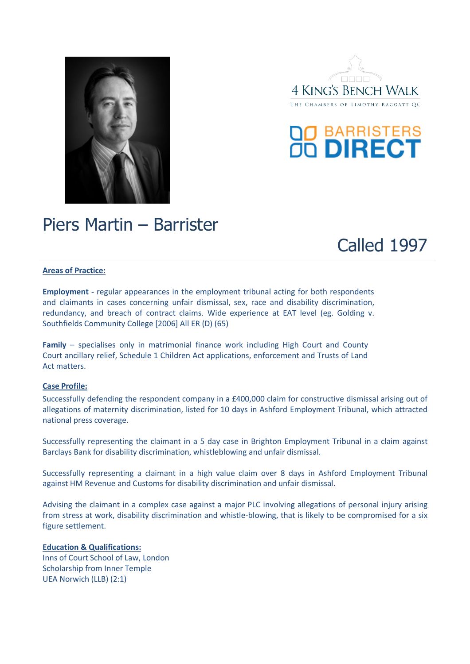





## Piers Martin – Barrister

Called 1997

## **Areas of Practice:**

**Employment -** regular appearances in the employment tribunal acting for both respondents and claimants in cases concerning unfair dismissal, sex, race and disability discrimination, redundancy, and breach of contract claims. Wide experience at EAT level (eg. Golding v. Southfields Community College [2006] All ER (D) (65)

**Family** – specialises only in matrimonial finance work including High Court and County Court ancillary relief, Schedule 1 Children Act applications, enforcement and Trusts of Land Act matters.

## **Case Profile:**

Successfully defending the respondent company in a £400,000 claim for constructive dismissal arising out of allegations of maternity discrimination, listed for 10 days in Ashford Employment Tribunal, which attracted national press coverage.

Successfully representing the claimant in a 5 day case in Brighton Employment Tribunal in a claim against Barclays Bank for disability discrimination, whistleblowing and unfair dismissal.

Successfully representing a claimant in a high value claim over 8 days in Ashford Employment Tribunal against HM Revenue and Customs for disability discrimination and unfair dismissal.

Advising the claimant in a complex case against a major PLC involving allegations of personal injury arising from stress at work, disability discrimination and whistle-blowing, that is likely to be compromised for a six figure settlement.

## **Education & Qualifications:**

Inns of Court School of Law, London Scholarship from Inner Temple UEA Norwich (LLB) (2:1)